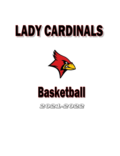# LADY CARDINALS



## **Basketball**

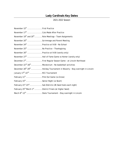## **Lady Cardinals Key Dates**

#### *2021-2022 Season*

| November 15 <sup>th</sup> First Practice                                                              |
|-------------------------------------------------------------------------------------------------------|
| November 17 <sup>th</sup> Cuts Made After Practice                                                    |
| November 19 <sup>th</sup> and 20 <sup>th</sup> Role Meetings - Team Assignments                       |
| November 20 <sup>th</sup> Scrimmage and Parent Meeting                                                |
| November 24 <sup>th</sup> Practice at 9:00 - No School                                                |
| November 25 <sup>th</sup> No Practice - Thanksgiving                                                  |
| November 26 <sup>th</sup> Practice at 9:00 (varsity only)                                             |
| November 27 <sup>th</sup> Hall of Fame Game vs Homer (varsity only)                                   |
| December 2 <sup>nd</sup> First Regular Season Game - at Lincoln Northeast                             |
| December 22 <sup>nd</sup> -26 <sup>th</sup> Moratorium - No basketball activities                     |
| December 28 <sup>th</sup> -29 <sup>th</sup> Holiday Tournament in Waverly - Stay overnight in Lincoln |
| January 17 <sup>th</sup> -22 <sup>nd</sup> RCC Tournament                                             |
| February 11 <sup>th</sup> Pink Out Game (vs Gross)                                                    |
| February 15 <sup>th</sup> Senior Night (vs Skutt)                                                     |
| February 21 <sup>st</sup> -23 <sup>rd</sup> Sub Districts (#1 Seed hosts each night)                  |
| February 25 <sup>th-</sup> March 1 <sup>st</sup> District Finals (at Higher Seed)                     |
| March 8 <sup>th</sup> -12 <sup>th</sup> State Tournament - Stay overnight in Lincoln                  |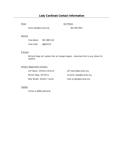## **Lady Cardinals Contact Information**

Email: Cell Phone:

steve.selk@ssccards.org 402-440-5043

#### Remind:

| Class Name: | <b>SSC GBB 2122</b> |
|-------------|---------------------|
| Class Code: | @gbb2122            |

#### R School:

Michelle Rapp will update that as changes happen – download that to your phone for updates

#### Athletic Department Contacts

| Jeff Squier, Athletics Director | jeff.squier@ssccards.org   |
|---------------------------------|----------------------------|
| Michell Rapp, AD Office         | michelle.rapp@ssccards.org |
| Mike Wright, Athletic Trainer   | mike.wright@ssccards.org   |

#### Twitter:

Follow us @SSCLadyCards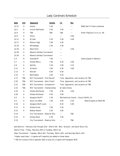| Date  | H/A        | Opponent                       | <b>Varsity</b>       | <u>JV</u>                                | Res                                   |                                |  |  |
|-------|------------|--------------------------------|----------------------|------------------------------------------|---------------------------------------|--------------------------------|--|--|
| 11/27 | H          | Homer                          | 1:00                 | $- - -$                                  | $\sim$ $\sim$ $\sim$                  | NSAA Hall of Fame Jamboree     |  |  |
| 12/2  | Α          | Lincoln Northeast              | 5:30                 | 7:00                                     | $- - -$                               |                                |  |  |
| 12/4  | H.         | <b>TBA</b>                     | TBA                  | TBA                                      | $\overline{a}$                        | Either Papillion-LV or Lin. NS |  |  |
| 12/6  | А          | Ponca                          | $- - -$              | ---                                      | 4:00                                  |                                |  |  |
| 12/11 | H          | SC East                        | 2:30                 | 1:00                                     | 4:00                                  |                                |  |  |
| 12/17 | H          | Elkhorn High                   | 7:00                 | 5:30                                     |                                       |                                |  |  |
| 12/18 | A          | Winnebago                      | 2:30                 | 1:00                                     |                                       |                                |  |  |
| 12/20 | Α          | West Point                     | $\overline{a}$       |                                          | 4:00                                  |                                |  |  |
| 12/28 | Α          | Waverly Holiday Tournament     |                      | ---                                      |                                       |                                |  |  |
| 12/29 | Α          | Waverly Holiday Tournament     |                      | ---                                      |                                       |                                |  |  |
| 1/3   | N          | Scottsbluff                    | 7:00                 | ---                                      |                                       | Game played in Waverly         |  |  |
| 1/7   | H          | Omaha Mercy                    | 7:00                 | 5:30                                     | 4:00                                  |                                |  |  |
| 1/8   | Α          | Norfolk                        | 3:30                 | 2:00                                     | 5:15                                  |                                |  |  |
| 1/11  | Α          | SC North                       | 7:00                 | 5:30                                     | 4:00                                  |                                |  |  |
| 1/13  | H          | Roncalli                       | 6:00                 | 4:30                                     |                                       |                                |  |  |
| 1/15  | H          | Bennington                     | 2:00                 | 3:30                                     |                                       |                                |  |  |
| 1/17  | TBA        | RCC Tournament - First Round*  |                      |                                          | Time, Opponents, and Location all TBA |                                |  |  |
| 1/20  | TBA        | RCC Tournament - Semi Finals*  |                      |                                          | Time, Opponents, and Location all TBA |                                |  |  |
| 1/21  | TBA        | RCC Tournament - Consolation*  |                      |                                          | Time, Opponents, and Location all TBA |                                |  |  |
| 1/22  | <b>TBA</b> | RCC Tournament - Championship  |                      |                                          | DJ Sokol Arena                        |                                |  |  |
| 1/25  | H          | Omaha Northwest                | 7:00                 | 5:30                                     | 4:00                                  |                                |  |  |
| 1/28  | Α          | Omaha Duchesne                 | 6:30                 | 5:00                                     |                                       |                                |  |  |
| 2/3   | А          | Sergeant Bluff**               | 7:30                 | Mid American Center - Council Bluffs, IA |                                       |                                |  |  |
| 2/5   | Α          | Sioux City West                | 7:30                 | 5:45                                     | 4:30                                  | Reserve game at West MS        |  |  |
| 2/10  | А          | Sergeant Bluff-Luton           | $\sim$ $\sim$ $\sim$ | 6:30                                     | 5:00                                  |                                |  |  |
| 2/11  | H          | Omaha Gross                    | 7:00                 | 5:30                                     |                                       |                                |  |  |
| 2/12  | Α          | <b>Bishop Heelan</b>           | 3:30                 | 2:00                                     |                                       |                                |  |  |
| 2/14  |            | City Tournament - Reserve Only |                      | ---                                      | TBA                                   |                                |  |  |
| 2/15  | H          | Omaha Skutt                    | 5:30                 | 7:00                                     |                                       |                                |  |  |
| 2/15  |            | City Tournament - Reserve Only |                      | ---                                      | TBA                                   |                                |  |  |

### Lady Cardinals Schedule

Sub-Districts – February 21st through 23rd – District B4 - Blair, Schuyler, and South Sioux City District Final – Friday, February 25th or Tuesday, March 1st

State Tournament – Tuesday, March 8th, Thursday, March 10th, and Saturday March 12th

\* Higher seed hosts – JV games will hopefully be added to these dates

\*\* We are trying to find a separate date to play our JV game with Sergeant Bluff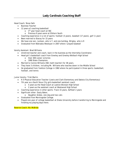Head Coach: Steve Selk

- Business Teacher
- 12 years of coaching basketball
	- o 3<sup>rd</sup> year head coach at SSC
	- o Previous 9 years were at Elkhorn South
- Coaching experience in a lot of sports: football (3 years), baseball (17 years), golf (1 year)
- Been married to Stacey for 15 years
- We have one son, Jackson, who is 7, and one bulldog, Wrigley, who is 9
- Graduated from Nebraska Wesleyan in 2007 where I played baseball

Varsity Assistant: Brad Williams

- Unretired teacher and coach, back in the business as the Internship Coordinator.
- Head girl's basketball coach from Greeley and Greeley-Wolbach High School
	- o Over 400 career victories
		- o 1990 State Champions
- Married to Connie Williams (SSC math teacher) for 38 years.
- They have 3 children, including Mr. Williams who teaches down in the Middle School
- He graduated from Yankton College in 1982 where he participated in three sports: basketball, football, and tennis

Junior Varsity: Trish Martin

- K-5 Physical Education Teacher (Lewis and Clark Elementary and Dakota City Elementary)
- 7th year as a South Sioux City girls basketball assistant coach
	- o 5 years as the Head Coach at Lawton-Bronson High School
	- o 2 years as the assistant coach at Westwood High School
- Coaching experience in other sports: Track 15 years, Softball 2 years
- Significant other: Dusty Baker,
	- o Daughter Andee, one dog and two cats
- Graduated from Morningside College.
- Played one year of college basketball at Drake University before transferring to Morningside and finishing my playing days there.

Reserve Coach: Nic McBride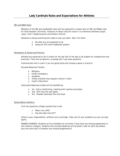#### SSC and NSAA Rules

Members of the SSC girls basketball team will be expected to comply with all SSC and NSAA rules for Interscholastic Activities. Violation of these rules will result in a conference between player, coach, and if needed parents and athletic director.

Someone is always watching and ready to tear you down. Don't let them!

- 1. Do what you are supposed to do
- 2. Hang out with other basketball players

#### Attendance at School and Practice

Athletes are expected to be in school for the last half of the day to be eligible for competitions and practices. There are exceptions, so please ask if you have questions.

Communicate with a coach if you are going home and missing a game or practice.

Excused Absences/Tardies:

- o Religious
- o Family emergency
- o Academic
- o Illness (coaches may request a doctor's note)
- o Coach's Discretion

Unexcused absences/tardies will be handled by:

- o 1st Extra conditioning, meeting with coaches and player
- o 2nd Will miss the next game
- o 3rd Possible dismissal from the team

#### School Before Athletics

First two questions college coaches like to ask:

- What's her GPA?
- Has she taken the ACT?

School is your responsibility; athletics are a privilege. Take care of your academics so you can play sports.

MISSING EVIDENCE: Students will be ineligible for activities if they have any missing assignments in the evidence category. Students with excused absences will be given a day for each day absent, plus one more day to complete any missing assignment(s).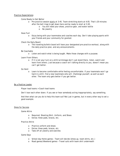#### Practice Expectations:

- Come Ready to Get Better
	- o Pre-practice session starts at 3:45. Team stretching starts at 4:05. That's 20 minutes after the bell rings to get down here and be ready to start at 3:45.
		- o You will need your shoes, practice gear, and water bottle
		- o No jewelry

#### Have Fun!

o Enjoy being with your teammates and coaches each day. Don't take playing sports with your friends and your community for granted.

#### Check the Daily Board

o The traveling bulletin board will have your designated pre-practice workout, along with the daily practice plan, and any announcements.

#### Be Coachable

o Listen and watch what is being taught. Make those changes with a purpose.

#### Learn From Others

o If it is not your turn on a drill/scrimmage don't just stand there, listen, watch and learn from others. Just because a coach isn't talking directly to you, doesn't mean you can't get better.

#### Go Hard

o Learn to become comfortable while feeling uncomfortable. If your teammate won't go hard in a drill, find a new teammate who will. Challenge yourself, as well as each other. The team only gets better if you get better.

#### Be a Positive Leader

Player lead teams > Coach lead teams

Don't tear each other down. If you see or hear somebody acting inappropriately, say something.

And then what can you do to help this team out? Not just in games, but in every other way to set a good example.

#### Dress for Success

Game Attire

- o Required: Shooting Shirt, Uniform, and Shoes
- o Extras: Knee pads, braces, etc.

#### Practice Attire

- o Practice uniform and shoes
- o Extras: Knee pads, braces, etc.
- o Take off all jewelry and watches

#### Game Days

- o School-day Home games Team will decide (dress up, team shirts, etc.)
- o Road games/Weekend games Travel suits with team shirt underneath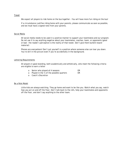#### **Travel**

We expect all players to ride home on the bus together – You will have more fun riding on the bus!

If a circumstance justifies riding home with your parents, please communicate as soon as possible, and we must have a signed note from your parents.

#### Social Media

All social media needs to be used in a positive manner to support your teammates and our program. Do not use it to say anything negative about your teammates, coaches, team, or opponents (good or bad - the reader's perception is the reality of that tweet. Don't give them bulletin board material)

Phones are everywhere! Don't put yourself in a position where someone else can tear you down. You're still in the picture even if you're accidentally in the background.

#### Lettering Requirements

All players in good standing, both academically and athletically, who meet the following criteria are eligible to earn a letter

|  | Senior who played all 4 seasons | OR |
|--|---------------------------------|----|
|--|---------------------------------|----|

- o Played in the ¼ of the possible quarters OR
- o Coach's Discretion

#### Be a Role Model

Little kids are always watching. They go home and want to be like you. Watch what you say, watch how you act on and off the floor. Don't talk back to the refs, help your teammates and opponents off the floor, and don't say anything to the other team.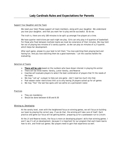#### Support Your Daughter and the Team

We need your help! Please support all team members, along with your daughter. We understand you love your daughter, and that you want her to play and be successful. So do we.

The truth is, there are only 160 minutes to be split up amongst five players at a time.

We have quarter restrictions per each night we play. Girls can only play in 6 quarters of basketball. For those who float between multiple teams we must be conscience of their minutes. We may hold her out of playing two minutes of a varsity quarter, so she can play six minutes of a JV quarter, which helps her development.

After each game, please try your best to tell them "You love watching them playing hard and having fun. And you love watching them be a good teammate." Let the coaches handle the evaluating.

#### Selection of Teams

- o **There will be cuts** based on the numbers who have shown interest in playing this winter
- o There will be three teams: Varsity, Junior Varsity, and Reserve
- o Coaches will evaluate players to select the best combination of players that fit the needs of the team.
- o We may "call up" a player to help out one game don't read too much into that.
- o Post-season roster restrictions limit us to only having 14 players suited up for all games
- o We may "flex" the last few spots until we settle on a permanent roster.

#### Practices

- o They are mandatory
- o Should be done between 6:00 and 6:30

#### Winning vs. Developing

At the varsity level, even with the heightened focus on winning games, we will focus on building our team by playing the correct way. If we do that, the winning will take care of itself. Each practice and game our focus will be getting better, preparing us for a postseason run to Lincoln.

At the JV and Reserve levels, the focus is more on developing players' skills than winning games. I won't say it's all on development, because it is important for our program that each team learns how to win, and finish out games. But players need to gain that experience as well.